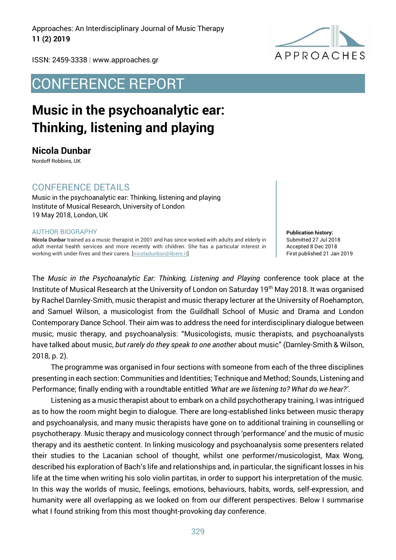Approaches: An Interdisciplinary Journal of Music Therapy **11 (2) 2019**



ISSN: 2459-3338 | www.approaches.gr

## CONFERENCE REPORT

# **Music in the psychoanalytic ear: Thinking, listening and playing**

### **Nicola Dunbar**

Nordoff Robbins, UK

### CONFERENCE DETAILS

Music in the psychoanalytic ear: Thinking, listening and playing Institute of Musical Research, University of London 19 May 2018, London, UK

#### AUTHOR BIOGRAPHY

**Nicola Dunbar** trained as a music therapist in 2001 and has since worked with adults and elderly in adult mental health services and more recently with children. She has a particular interest in working with under-fives and their carers. [nicoladunbar@libero.it]

**Publication history:**  Submitted 27 Jul 2018 Accepted 8 Dec 2018 First published 21 Jan 2019

The *Music in the Psychoanalytic Ear: Thinking, Listening and Playing* conference took place at the Institute of Musical Research at the University of London on Saturday 19<sup>th</sup> May 2018. It was organised by Rachel Darnley-Smith, music therapist and music therapy lecturer at the University of Roehampton, and Samuel Wilson, a musicologist from the Guildhall School of Music and Drama and London Contemporary Dance School. Their aim was to address the need for interdisciplinary dialogue between music, music therapy, and psychoanalysis: "Musicologists, music therapists, and psychoanalysts have talked about music, *but rarely do they speak to one another* about music" (Darnley-Smith & Wilson, 2018, p. 2).

The programme was organised in four sections with someone from each of the three disciplines presenting in each section: Communities and Identities; Technique and Method; Sounds, Listening and Performance; finally ending with a roundtable entitled *'What are we listening to? What do we hear?'*.

Listening as a music therapist about to embark on a child psychotherapy training, I was intrigued as to how the room might begin to dialogue. There are long-established links between music therapy and psychoanalysis, and many music therapists have gone on to additional training in counselling or psychotherapy. Music therapy and musicology connect through 'performance' and the music of music therapy and its aesthetic content. In linking musicology and psychoanalysis some presenters related their studies to the Lacanian school of thought, whilst one performer/musicologist, Max Wong, described his exploration of Bach's life and relationships and, in particular, the significant losses in his life at the time when writing his solo violin partitas, in order to support his interpretation of the music. In this way the worlds of music, feelings, emotions, behaviours, habits, words, self-expression, and humanity were all overlapping as we looked on from our different perspectives. Below I summarise what I found striking from this most thought-provoking day conference.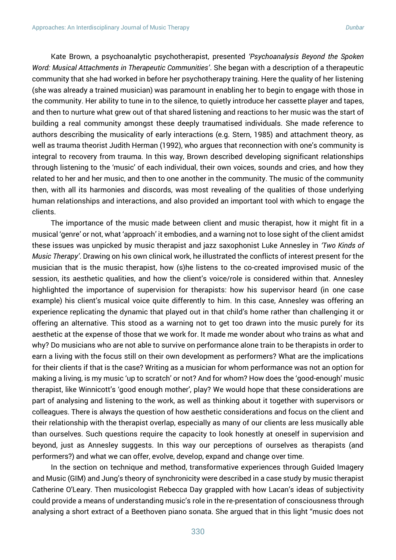Kate Brown, a psychoanalytic psychotherapist, presented *'Psychoanalysis Beyond the Spoken Word: Musical Attachments in Therapeutic Communities'*. She began with a description of a therapeutic community that she had worked in before her psychotherapy training. Here the quality of her listening (she was already a trained musician) was paramount in enabling her to begin to engage with those in the community. Her ability to tune in to the silence, to quietly introduce her cassette player and tapes, and then to nurture what grew out of that shared listening and reactions to her music was the start of building a real community amongst these deeply traumatised individuals. She made reference to authors describing the musicality of early interactions (e.g. Stern, 1985) and attachment theory, as well as trauma theorist Judith Herman (1992), who argues that reconnection with one's community is integral to recovery from trauma. In this way, Brown described developing significant relationships through listening to the 'music' of each individual, their own voices, sounds and cries, and how they related to her and her music, and then to one another in the community. The music of the community then, with all its harmonies and discords, was most revealing of the qualities of those underlying human relationships and interactions, and also provided an important tool with which to engage the clients.

The importance of the music made between client and music therapist, how it might fit in a musical 'genre' or not, what 'approach' it embodies, and a warning not to lose sight of the client amidst these issues was unpicked by music therapist and jazz saxophonist Luke Annesley in *'Two Kinds of Music Therapy'*. Drawing on his own clinical work, he illustrated the conflicts of interest present for the musician that is the music therapist, how (s)he listens to the co-created improvised music of the session, its aesthetic qualities, and how the client's voice/role is considered within that. Annesley highlighted the importance of supervision for therapists: how his supervisor heard (in one case example) his client's musical voice quite differently to him. In this case, Annesley was offering an experience replicating the dynamic that played out in that child's home rather than challenging it or offering an alternative. This stood as a warning not to get too drawn into the music purely for its aesthetic at the expense of those that we work for. It made me wonder about who trains as what and why? Do musicians who are not able to survive on performance alone train to be therapists in order to earn a living with the focus still on their own development as performers? What are the implications for their clients if that is the case? Writing as a musician for whom performance was not an option for making a living, is my music 'up to scratch' or not? And for whom? How does the 'good-enough' music therapist, like Winnicott's 'good enough mother', play? We would hope that these considerations are part of analysing and listening to the work, as well as thinking about it together with supervisors or colleagues. There is always the question of how aesthetic considerations and focus on the client and their relationship with the therapist overlap, especially as many of our clients are less musically able than ourselves. Such questions require the capacity to look honestly at oneself in supervision and beyond, just as Annesley suggests. In this way our perceptions of ourselves as therapists (and performers?) and what we can offer, evolve, develop, expand and change over time.

In the section on technique and method, transformative experiences through Guided Imagery and Music (GIM) and Jung's theory of synchronicity were described in a case study by music therapist Catherine O'Leary. Then musicologist Rebecca Day grappled with how Lacan's ideas of subjectivity could provide a means of understanding music's role in the re-presentation of consciousness through analysing a short extract of a Beethoven piano sonata. She argued that in this light "music does not